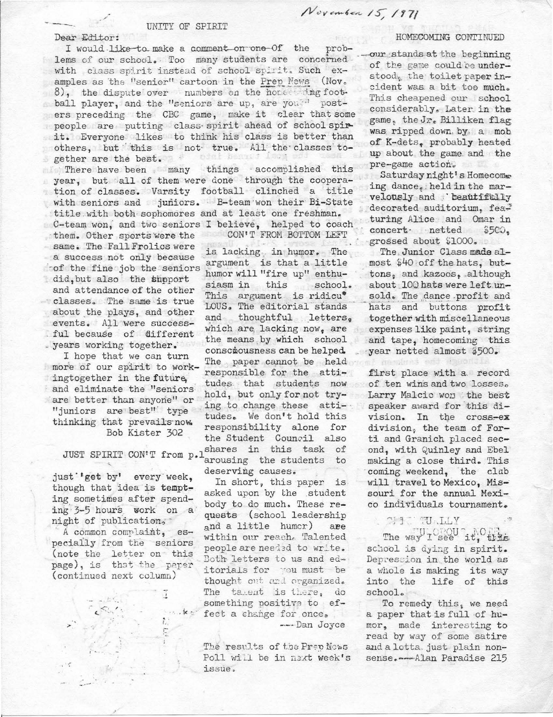## Dear Editor:

I would like to make a comment on one Of the problems of our school. Too many students are concerned with class spirit instead of school spirit. Such examples as the "senior" cartoon in the Prep News (Nov. 8), the dispute over numbers on the home wing football player, and the "seniors are up, are you?" posters preceding the CBC game, make it clear that some people are putting class spirit ahead of school spirit. Everyone likes to think his class is better than others, but this is not true. All the classes toofai benut fsog gether are the best.

UNITY OF SPIRIT

There have been many things accomplished this year, but all of them were done through the cooperation of classes. Varsity football clinched a title with seniors and juniors. B-team won their Bi-State title with both sophomores and at least one freshman. C-team won, and two seniors I believe, helped to coach them. Other sports were the CON'T FROM BOTTOM LEFT

same. The Fall Frolics were a success not only because of the fine job the seniors did, but also the support and attendance of the other classes. The same is true about the plays, and other events. All were successful because of different . years working together.

I hope that we can turn more of our spirit to workingtogether in the future, and eliminate the "seniors" are better than anyone" or "juniors are best" type thinking that prevails now. Bob Kister 302

JUST SPIRIT CON'T from p.1

just 'get by' every week, though that idea is tempting sometimes after spending 3-5 hours work on a night of publication,

A common complaint, especially from the seniors (note the letter on this page), is that the paper (continued next column)

Ĩ

 $\stackrel{\bullet}{\scriptstyle{L}}$ 

Ē

Stanker

is lacking in humor. The argument is that a little humor will "fire up" enthusiasm in this school. This argument is ridicu\* LOUS. The editorial stands and thoughtful letters. which are lacking now, are the means by which school consciousness can be helped. The paper cannot be held responsible for the attitudes that students now hold, but only for not trying to change these attitudes. We don't hold this responsibility alone for the Student Council also shares in this task of arousing the students to deserving causes.

In short, this paper is asked upon by the student body to do much. These requests (school leadership and a little humor) are within our reach. Talented people are needed to write. Both letters to us and editorials for you must be thought out and organized. The talent is there, do something positive to effect a change for once.

-Dan Joyce

The results of the Prev News Poll will be in next week's issue.

## HOMECOMING CONTINUED

our stands at the beginning of the game could be understood, the toilet paper incident was a bit too much. This cheapened our school considerably. Later in the game, the Jr. Billiken flag was ripped down by a mob of K-dets, probably heated up about the game and the pre-game action.

Saturday night's Homecome ing dance, held in the marvelously and beautifitly decorated auditorium, featuring Alice and Omar in concert netted  $$5C0.$ grossed about \$1000.

The Junior Class made almost \$40 off the hats, buttons, and kazoos, although about 100 hats were left unsold. The dance profit and hats and buttons profit together with miscellaneous expenses like paint, string and tape, homecoming this year netted almost \$500.

nambers en

first place with a record of ten wins and two losses. Larry Malcie won the best speaker award for this division. In the cross-ex division, the team of Forti and Granich placed second, with Quinley and Ebel making a close third. This coming weekend, the club will travel to Mexico. Missouri for the annual Mexico individuals tournament.

## YULAUT DEEN

The way I see it, this school is dying in spirit. Depression in the world as a whole is making its way into the life of this school.

To remedy this, we need a paper that is full of humor, made interesting to read by way of some satire and a lotta just plain nonsense.---Alan Paradise 215